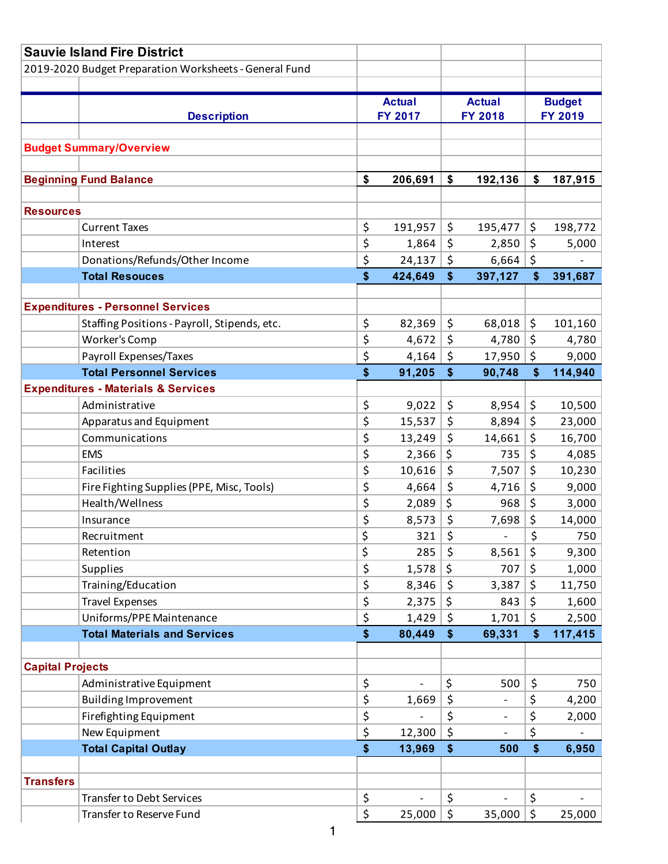|                         | <b>Sauvie Island Fire District</b>                      |          |                   |                |                              |                |               |
|-------------------------|---------------------------------------------------------|----------|-------------------|----------------|------------------------------|----------------|---------------|
|                         | 2019-2020 Budget Preparation Worksheets - General Fund  |          |                   |                |                              |                |               |
|                         |                                                         |          |                   |                |                              |                |               |
|                         |                                                         |          | <b>Actual</b>     |                | <b>Actual</b>                |                | <b>Budget</b> |
|                         | <b>Description</b>                                      |          | FY 2017           | <b>FY 2018</b> |                              | <b>FY 2019</b> |               |
|                         |                                                         |          |                   |                |                              |                |               |
|                         | <b>Budget Summary/Overview</b>                          |          |                   |                |                              |                |               |
|                         |                                                         |          |                   |                |                              |                |               |
|                         | <b>Beginning Fund Balance</b>                           | \$       | 206,691           | \$             | 192,136                      | \$             | 187,915       |
|                         |                                                         |          |                   |                |                              |                |               |
| <b>Resources</b>        |                                                         |          |                   |                |                              |                |               |
|                         | <b>Current Taxes</b>                                    | \$       | 191,957           | \$             | 195,477                      | \$             | 198,772       |
|                         | Interest                                                | \$       | 1,864             | \$             | 2,850                        | \$             | 5,000         |
|                         | Donations/Refunds/Other Income<br><b>Total Resouces</b> | \$<br>\$ | 24,137<br>424,649 | \$<br>\$       | 6,664                        | \$<br>\$       | 391,687       |
|                         |                                                         |          |                   |                | 397,127                      |                |               |
|                         | <b>Expenditures - Personnel Services</b>                |          |                   |                |                              |                |               |
|                         | Staffing Positions - Payroll, Stipends, etc.            | \$       | 82,369            | \$             | 68,018                       | \$             | 101,160       |
|                         | Worker's Comp                                           | \$       | 4,672             | \$             | 4,780                        | $\zeta$        | 4,780         |
|                         | Payroll Expenses/Taxes                                  | \$       | 4,164             | \$             | 17,950                       | \$             | 9,000         |
|                         | <b>Total Personnel Services</b>                         | \$       | 91,205            | \$             | 90,748                       | \$             | 114,940       |
|                         | <b>Expenditures - Materials &amp; Services</b>          |          |                   |                |                              |                |               |
|                         | Administrative                                          | \$       | 9,022             | \$             | 8,954                        | \$             | 10,500        |
|                         | Apparatus and Equipment                                 | \$       | 15,537            | \$             | 8,894                        | \$             | 23,000        |
|                         | Communications                                          | \$       | 13,249            | \$             | 14,661                       | \$             | 16,700        |
|                         | <b>EMS</b>                                              | \$       | 2,366             | \$             | 735                          | \$             | 4,085         |
|                         | Facilities                                              | \$       | 10,616            | \$             | 7,507                        | \$             | 10,230        |
|                         | Fire Fighting Supplies (PPE, Misc, Tools)               | \$       | 4,664             | \$             | 4,716                        | \$             | 9,000         |
|                         | Health/Wellness                                         | \$       | 2,089             | \$             | 968                          | \$             | 3,000         |
|                         | Insurance                                               | \$       | 8,573             | \$             | 7,698                        | \$             | 14,000        |
|                         | Recruitment                                             | \$       | 321               | \$             | $\overline{\phantom{0}}$     | \$             | 750           |
|                         | Retention                                               | \$       | 285               | \$             | 8,561                        | \$             | 9,300         |
|                         | Supplies                                                | \$       | 1,578             | \$             | 707                          | \$             | 1,000         |
|                         | Training/Education                                      | \$       | 8,346             | \$             | 3,387                        | \$             | 11,750        |
|                         | <b>Travel Expenses</b>                                  | \$       | 2,375             | \$             | 843                          | \$             | 1,600         |
|                         | Uniforms/PPE Maintenance                                | \$       | 1,429             | \$             | 1,701                        | \$             | 2,500         |
|                         | <b>Total Materials and Services</b>                     | \$       | 80,449            | \$             | 69,331                       | \$             | 117,415       |
|                         |                                                         |          |                   |                |                              |                |               |
| <b>Capital Projects</b> |                                                         |          |                   |                |                              |                |               |
|                         | Administrative Equipment                                | \$       |                   | \$             | 500                          | \$             | 750           |
|                         | <b>Building Improvement</b>                             | \$       | 1,669             | \$             |                              | \$             | 4,200         |
|                         | Firefighting Equipment                                  | \$       |                   | \$             | $\qquad \qquad \blacksquare$ | \$             | 2,000         |
|                         | New Equipment                                           | \$       | 12,300            | \$             |                              | \$             |               |
|                         | <b>Total Capital Outlay</b>                             | \$       | 13,969            | \$             | 500                          | \$             | 6,950         |
|                         |                                                         |          |                   |                |                              |                |               |
| <b>Transfers</b>        |                                                         |          |                   |                |                              |                |               |
|                         | <b>Transfer to Debt Services</b>                        | \$       |                   | \$             |                              | \$             |               |
|                         | Transfer to Reserve Fund                                | \$       | 25,000            | \$             | 35,000                       | \$             | 25,000        |
|                         | 1                                                       |          |                   |                |                              |                |               |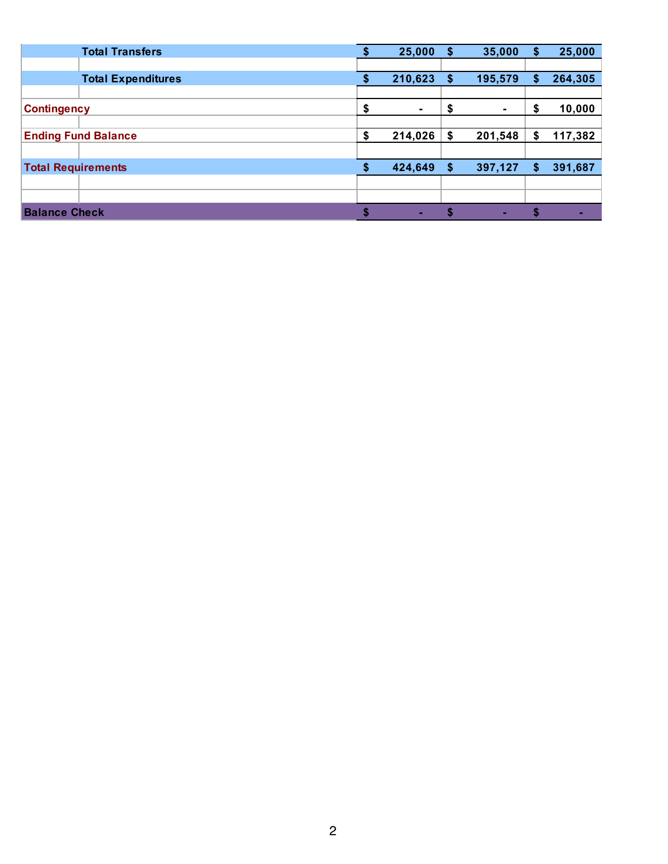| <b>Total Transfers</b>     | 25,000        | S  | 35,000  | \$ | 25,000  |
|----------------------------|---------------|----|---------|----|---------|
|                            |               |    |         |    |         |
| <b>Total Expenditures</b>  | 210,623       |    | 195,579 | S  | 264,305 |
|                            |               |    |         |    |         |
| <b>Contingency</b>         | \$<br>۰       | \$ |         | \$ | 10,000  |
|                            |               |    |         |    |         |
| <b>Ending Fund Balance</b> | \$<br>214,026 |    | 201,548 | S. | 117,382 |
|                            |               |    |         |    |         |
| <b>Total Requirements</b>  | 424,649       | S  | 397,127 | S  | 391,687 |
|                            |               |    |         |    |         |
|                            |               |    |         |    |         |
| <b>Balance Check</b>       | ٠.            |    | ×.      |    |         |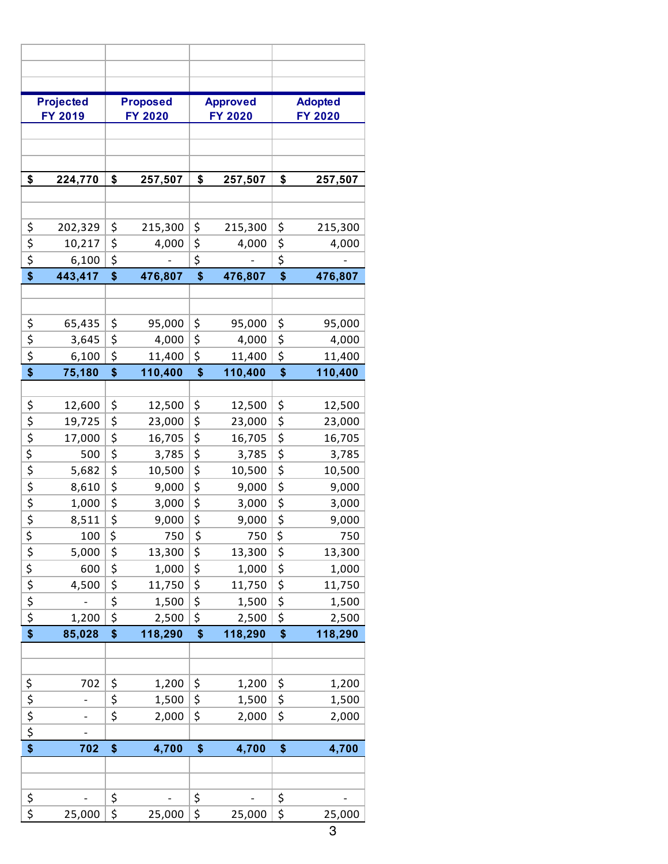|                                                                       | <b>Projected</b> |                                     | <b>Proposed</b> |                                     | <b>Approved</b> |                                     | <b>Adopted</b> |
|-----------------------------------------------------------------------|------------------|-------------------------------------|-----------------|-------------------------------------|-----------------|-------------------------------------|----------------|
|                                                                       | FY 2019          |                                     | <b>FY 2020</b>  |                                     | <b>FY 2020</b>  |                                     | <b>FY 2020</b> |
|                                                                       |                  |                                     |                 |                                     |                 |                                     |                |
|                                                                       |                  |                                     |                 |                                     |                 |                                     |                |
| \$                                                                    | 224,770          | \$                                  | 257,507         | \$                                  | 257,507         | \$                                  | 257,507        |
|                                                                       |                  |                                     |                 |                                     |                 |                                     |                |
|                                                                       |                  |                                     |                 |                                     |                 |                                     |                |
| \$                                                                    | 202,329          | \$                                  | 215,300         | \$                                  | 215,300         | \$                                  | 215,300        |
| \$                                                                    | 10,217           | \$                                  | 4,000           | \$                                  | 4,000           | \$                                  | 4,000          |
| $\overline{\boldsymbol{\zeta}}$                                       | 6,100            | $\overline{\boldsymbol{\varsigma}}$ |                 | \$                                  |                 | \$                                  |                |
| \$                                                                    | 443,417          | \$                                  | 476,807         | \$                                  | 476,807         | \$                                  | 476,807        |
|                                                                       |                  |                                     |                 |                                     |                 |                                     |                |
|                                                                       |                  |                                     |                 |                                     |                 |                                     |                |
| \$                                                                    | 65,435           | \$                                  | 95,000          | \$                                  | 95,000          | \$                                  | 95,000         |
| \$                                                                    | 3,645            | $\overline{\boldsymbol{\varsigma}}$ | 4,000           | \$                                  | 4,000           | \$                                  | 4,000          |
| \$                                                                    | 6,100            | \$                                  | 11,400          | \$                                  | 11,400          | \$                                  | 11,400         |
| \$                                                                    | 75,180           | \$                                  | 110,400         | \$<br>110,400                       |                 | \$                                  | 110,400        |
|                                                                       |                  |                                     |                 |                                     |                 |                                     |                |
| \$                                                                    | 12,600           | \$                                  | 12,500          | \$                                  | 12,500          | \$                                  | 12,500         |
| \$                                                                    | 19,725           | \$                                  | 23,000          | \$                                  | 23,000          | \$                                  | 23,000         |
| $\overline{\xi}$                                                      | 17,000           | $\overline{\varsigma}$              | 16,705          | \$                                  | 16,705          | \$                                  | 16,705         |
| $\overline{\xi}$                                                      | 500              | \$                                  | 3,785           | $\overline{\boldsymbol{\varsigma}}$ | 3,785           | $\overline{\boldsymbol{\zeta}}$     | 3,785          |
| $\overline{\boldsymbol{\xi}}$                                         | 5,682            | $\overline{\varsigma}$              | 10,500          | $\overline{\boldsymbol{\zeta}}$     | 10,500          | \$                                  | 10,500         |
| $\overline{\boldsymbol{\zeta}}$                                       | 8,610            | \$                                  | 9,000           | $\overline{\boldsymbol{\varsigma}}$ | 9,000           | $\overline{\boldsymbol{\varsigma}}$ | 9,000          |
| $\overline{\boldsymbol{\xi}}$                                         | 1,000            | $\overline{\boldsymbol{\varsigma}}$ | 3,000           | \$                                  | 3,000           | \$                                  | 3,000          |
| $\overline{\boldsymbol{\varsigma}}$                                   | 8,511            | \$                                  | 9,000           | \$                                  | 9,000           | \$                                  | 9,000          |
| \$                                                                    | 100              | \$                                  | 750             | \$                                  | 750             | \$                                  | 750            |
|                                                                       | 5,000            | \$                                  | 13,300          | \$                                  | 13,300          | \$                                  | 13,300         |
|                                                                       | 600              | $\overline{\xi}$                    | 1,000           | \$                                  | 1,000           | \$                                  | 1,000          |
|                                                                       | 4,500            | $\frac{1}{2}$                       | 11,750          | \$                                  | 11,750          | \$                                  | 11,750         |
| $\frac{1}{2}$ $\frac{1}{2}$ $\frac{1}{2}$ $\frac{1}{2}$ $\frac{1}{2}$ |                  |                                     | 1,500           | $\overline{\boldsymbol{\varsigma}}$ | 1,500           | \$                                  | 1,500          |
|                                                                       | 1,200            | $\overline{\boldsymbol{\zeta}}$     | 2,500           | \$                                  | 2,500           | \$                                  | 2,500          |
| $\overline{\$}$                                                       | 85,028           | \$                                  | 118,290         | \$                                  | 118,290         | \$                                  | 118,290        |
|                                                                       |                  |                                     |                 |                                     |                 |                                     |                |
|                                                                       |                  |                                     |                 |                                     |                 |                                     |                |
|                                                                       | 702              | \$                                  | 1,200           | \$                                  | 1,200           | \$                                  | 1,200          |
|                                                                       | -                | \$                                  | 1,500           | \$                                  | 1,500           | \$                                  | 1,500          |
|                                                                       |                  | \$                                  | 2,000           | \$                                  | 2,000           | \$                                  | 2,000          |
| $\frac{1}{2}$ $\frac{1}{2}$ $\frac{1}{2}$ $\frac{1}{2}$ $\frac{1}{2}$ |                  |                                     |                 |                                     |                 |                                     |                |
|                                                                       | 702              | \$                                  | 4,700           | \$                                  | 4,700           | \$                                  | 4,700          |
|                                                                       |                  |                                     |                 |                                     |                 |                                     |                |
|                                                                       |                  |                                     |                 |                                     |                 |                                     |                |
| \$                                                                    |                  | \$                                  |                 | \$                                  |                 | \$                                  |                |
| $\overline{\boldsymbol{\zeta}}$                                       | 25,000           | \$                                  | 25,000          | \$                                  | 25,000          | \$                                  | 25,000         |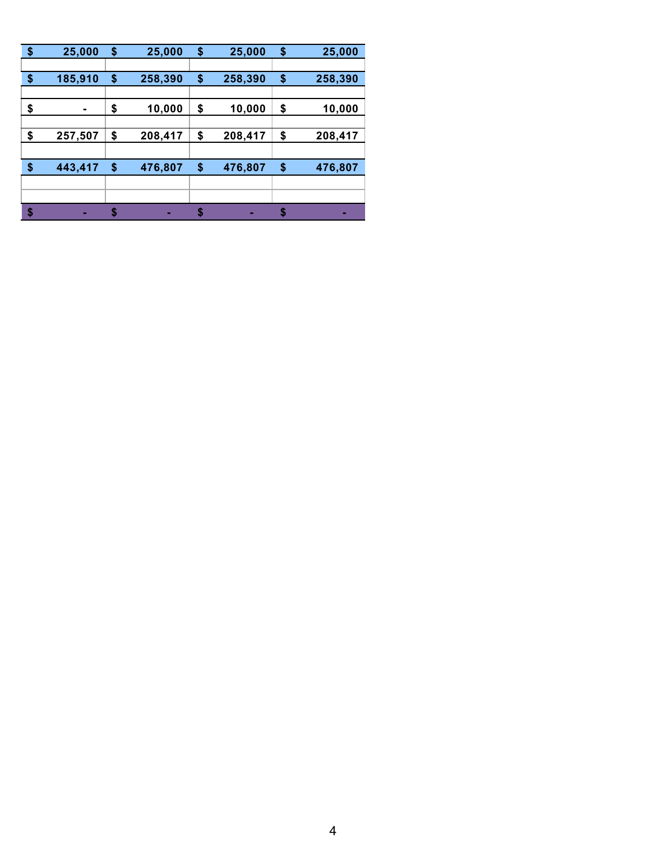| \$<br>25,000  | \$<br>25,000  | \$<br>25,000  | \$ | 25,000  |
|---------------|---------------|---------------|----|---------|
|               |               |               |    |         |
| \$<br>185,910 | \$<br>258,390 | \$<br>258,390 | \$ | 258,390 |
|               |               |               |    |         |
| \$            | \$<br>10,000  | \$<br>10,000  | \$ | 10,000  |
|               |               |               |    |         |
| \$<br>257,507 | \$<br>208,417 | \$<br>208,417 | \$ | 208,417 |
|               |               |               |    |         |
| \$<br>443,417 | \$<br>476,807 | \$<br>476,807 | \$ | 476,807 |
|               |               |               |    |         |
|               |               |               |    |         |
| \$<br>н       | \$<br>н       | н             | S  | ٠       |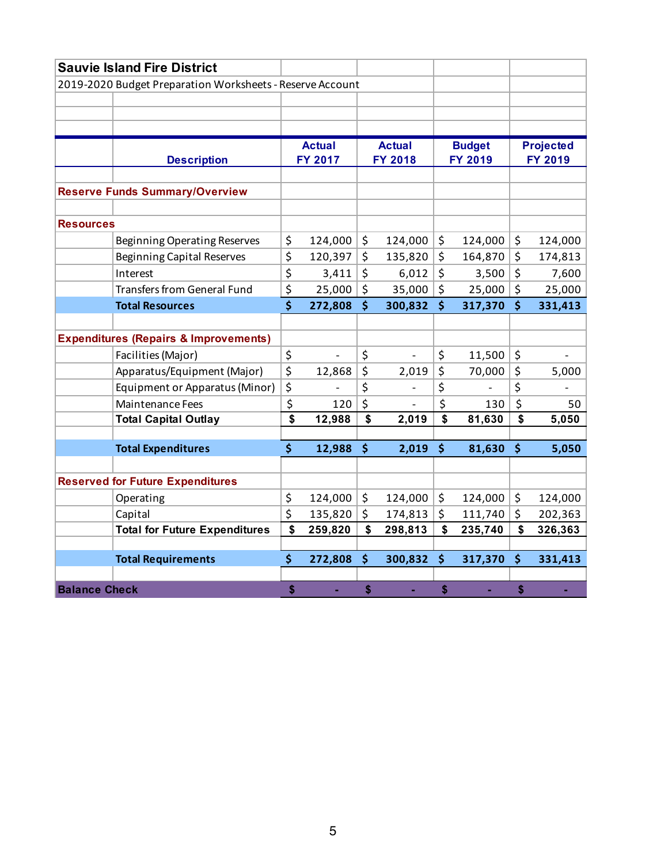|                      | <b>Sauvie Island Fire District</b>                        |               |                |                      |         |                  |
|----------------------|-----------------------------------------------------------|---------------|----------------|----------------------|---------|------------------|
|                      | 2019-2020 Budget Preparation Worksheets - Reserve Account |               |                |                      |         |                  |
|                      |                                                           |               |                |                      |         |                  |
|                      |                                                           |               |                |                      |         |                  |
|                      |                                                           |               |                |                      |         |                  |
|                      |                                                           | <b>Actual</b> | <b>Actual</b>  | <b>Budget</b>        |         | <b>Projected</b> |
|                      | <b>Description</b>                                        | FY 2017       | <b>FY 2018</b> | FY 2019              |         | FY 2019          |
|                      |                                                           |               |                |                      |         |                  |
|                      | <b>Reserve Funds Summary/Overview</b>                     |               |                |                      |         |                  |
|                      |                                                           |               |                |                      |         |                  |
| <b>Resources</b>     |                                                           |               |                |                      |         |                  |
|                      | <b>Beginning Operating Reserves</b>                       | \$<br>124,000 | \$<br>124,000  | \$<br>124,000        | \$      | 124,000          |
|                      | <b>Beginning Capital Reserves</b>                         | \$<br>120,397 | \$<br>135,820  | \$<br>164,870        | \$      | 174,813          |
|                      | Interest                                                  | \$<br>3,411   | \$<br>6,012    | \$<br>3,500          | \$      | 7,600            |
|                      | <b>Transfers from General Fund</b>                        | \$<br>25,000  | \$<br>35,000   | \$<br>25,000         | \$      | 25,000           |
|                      | <b>Total Resources</b>                                    | \$<br>272,808 | \$<br>300,832  | \$<br>317,370        | \$      | 331,413          |
|                      |                                                           |               |                |                      |         |                  |
|                      | <b>Expenditures (Repairs &amp; Improvements)</b>          |               |                |                      |         |                  |
|                      | Facilities (Major)                                        | \$            | \$             | \$<br>11,500         | $\zeta$ |                  |
|                      | Apparatus/Equipment (Major)                               | \$<br>12,868  | \$<br>2,019    | \$<br>70,000         | \$      | 5,000            |
|                      | Equipment or Apparatus (Minor)                            | \$            | \$             | \$<br>$\overline{a}$ | \$      |                  |
|                      | <b>Maintenance Fees</b>                                   | \$<br>120     | \$             | \$<br>130            | \$      | 50               |
|                      | <b>Total Capital Outlay</b>                               | \$<br>12,988  | \$<br>2,019    | \$<br>81,630         | \$      | 5,050            |
|                      |                                                           |               |                |                      |         |                  |
|                      | <b>Total Expenditures</b>                                 | \$<br>12,988  | \$<br>2,019    | \$<br>81,630         | \$      | 5,050            |
|                      |                                                           |               |                |                      |         |                  |
|                      | <b>Reserved for Future Expenditures</b>                   |               |                |                      |         |                  |
|                      | Operating                                                 | \$<br>124,000 | \$<br>124,000  | \$<br>124,000        | \$      | 124,000          |
|                      | Capital                                                   | \$<br>135,820 | \$<br>174,813  | \$<br>111,740        | \$      | 202,363          |
|                      | <b>Total for Future Expenditures</b>                      | \$<br>259,820 | \$<br>298,813  | \$<br>235,740        | \$      | 326,363          |
|                      |                                                           |               |                |                      |         |                  |
|                      | <b>Total Requirements</b>                                 | \$<br>272,808 | \$<br>300,832  | \$<br>317,370        | \$      | 331,413          |
| <b>Balance Check</b> |                                                           | \$            |                |                      |         |                  |
|                      |                                                           | ä,            | \$             | \$                   | \$      |                  |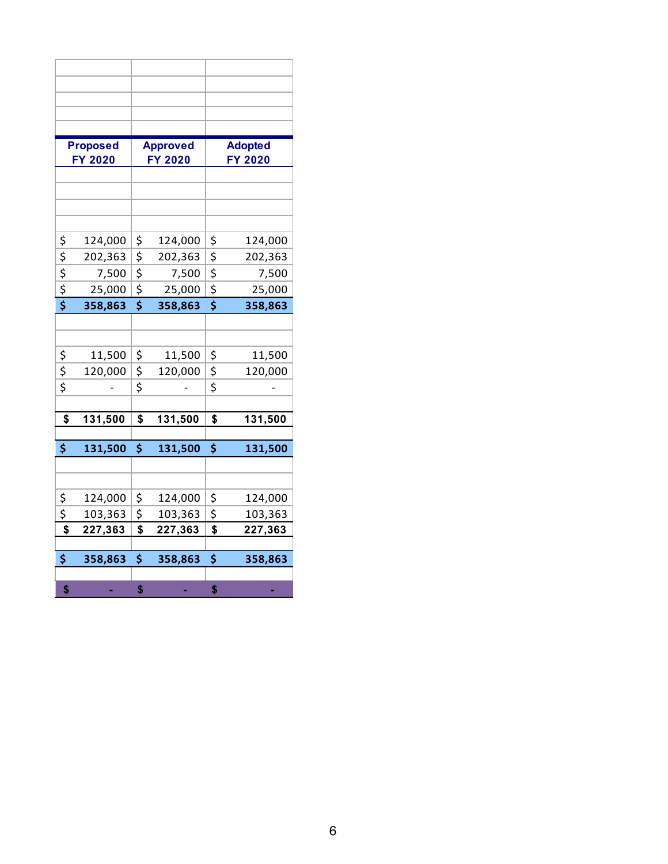|                                                 | <b>Proposed</b> |                                 |                            |                                     | <b>Adopted</b> |
|-------------------------------------------------|-----------------|---------------------------------|----------------------------|-------------------------------------|----------------|
|                                                 | FY 2020         |                                 | <b>Approved</b><br>FY 2020 |                                     | <b>FY 2020</b> |
|                                                 |                 |                                 |                            |                                     |                |
|                                                 |                 |                                 |                            |                                     |                |
|                                                 |                 |                                 |                            |                                     |                |
|                                                 |                 |                                 |                            |                                     |                |
|                                                 | 124,000         | \$                              | 124,000                    | \$                                  | 124,000        |
| $\frac{5}{5}$<br>$\frac{5}{5}$<br>$\frac{5}{5}$ | 202,363         | \$                              | 202,363                    | \$                                  | 202,363        |
|                                                 | 7,500           | \$                              | 7,500                      | \$                                  | 7,500          |
|                                                 | 25,000          | $\overline{\xi}$                | 25,000                     | $\overline{\mathsf{S}}$             | 25,000         |
|                                                 | 358,863         | $\overline{\boldsymbol{\zeta}}$ | 358,863                    | $\overline{\boldsymbol{\varsigma}}$ | 358,863        |
|                                                 |                 |                                 |                            |                                     |                |
|                                                 |                 |                                 |                            |                                     |                |
|                                                 | 11,500          | \$                              | 11,500                     | \$                                  | 11,500         |
| $\frac{1}{2}$                                   | 120,000         | \$                              | 120,000                    | \$                                  | 120,000        |
|                                                 |                 | \$                              |                            | \$                                  |                |
|                                                 |                 |                                 |                            |                                     |                |
| \$                                              | 131,500         | \$                              | 131,500                    | \$                                  | 131,500        |
|                                                 |                 |                                 |                            |                                     |                |
| \$                                              | 131,500         | \$                              | 131,500                    | \$                                  | 131,500        |
|                                                 |                 |                                 |                            |                                     |                |
| \$                                              | 124,000         | \$                              | 124,000                    | \$                                  | 124,000        |
| \$                                              | 103,363         | \$                              | 103,363                    | \$                                  | 103,363        |
| \$                                              | 227,363         | \$                              | 227,363                    | \$                                  | 227,363        |
|                                                 |                 |                                 |                            |                                     |                |
| \$                                              | 358,863         | \$                              | 358,863                    | \$                                  | 358,863        |
|                                                 |                 |                                 |                            |                                     |                |
| \$                                              |                 | \$                              |                            | \$                                  |                |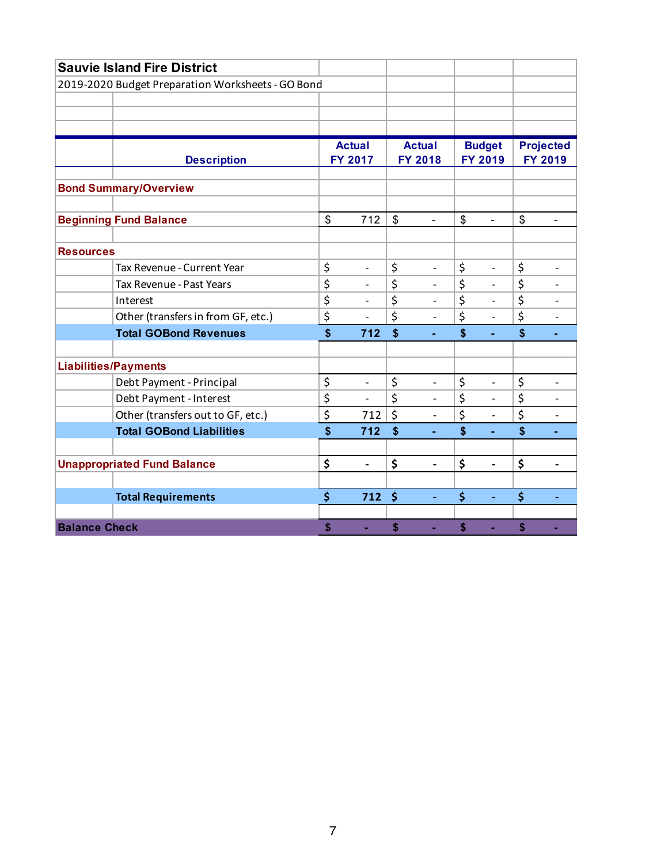|                             | <b>Sauvie Island Fire District</b>                |                                    |                    |                          |                                 |                          |                      |
|-----------------------------|---------------------------------------------------|------------------------------------|--------------------|--------------------------|---------------------------------|--------------------------|----------------------|
|                             | 2019-2020 Budget Preparation Worksheets - GO Bond |                                    |                    |                          |                                 |                          |                      |
|                             |                                                   |                                    |                    |                          |                                 |                          |                      |
|                             |                                                   |                                    |                    |                          |                                 |                          |                      |
|                             |                                                   |                                    |                    |                          |                                 |                          |                      |
|                             |                                                   | <b>Actual</b>                      |                    | <b>Actual</b>            |                                 | <b>Budget</b>            | <b>Projected</b>     |
|                             | <b>Description</b>                                | <b>FY 2017</b>                     |                    | <b>FY 2018</b>           |                                 | FY 2019                  | <b>FY 2019</b>       |
|                             | <b>Bond Summary/Overview</b>                      |                                    |                    |                          |                                 |                          |                      |
|                             |                                                   |                                    |                    |                          |                                 |                          |                      |
|                             | <b>Beginning Fund Balance</b>                     | \$<br>712                          | \$                 | $\blacksquare$           | \$                              | $\blacksquare$           | \$<br>$\blacksquare$ |
| <b>Resources</b>            |                                                   |                                    |                    |                          |                                 |                          |                      |
|                             | Tax Revenue - Current Year                        | \$<br>$\overline{\phantom{m}}$     | \$                 | $\overline{\phantom{0}}$ | \$                              |                          | \$                   |
|                             | Tax Revenue - Past Years                          | \$<br>$\overline{\phantom{a}}$     | \$                 | $\overline{\phantom{0}}$ | \$                              | $\overline{\phantom{0}}$ | \$                   |
|                             | Interest                                          | \$<br>$\overline{\phantom{0}}$     | \$                 | $\overline{a}$           | \$                              | $\overline{\phantom{0}}$ | \$                   |
|                             | Other (transfers in from GF, etc.)                | \$<br>$\overline{\phantom{a}}$     | \$                 | $\overline{a}$           | \$                              | $\overline{a}$           | \$                   |
|                             | <b>Total GOBond Revenues</b>                      | \$<br>712                          | $\mathbf{\hat{s}}$ | ٠                        | \$                              | ٠                        | \$                   |
|                             |                                                   |                                    |                    |                          |                                 |                          |                      |
| <b>Liabilities/Payments</b> |                                                   |                                    |                    |                          |                                 |                          |                      |
|                             | Debt Payment - Principal                          | \$<br>$\overline{a}$               | \$                 | $\overline{a}$           | \$                              |                          | \$                   |
|                             | Debt Payment - Interest                           | \$<br>$\blacksquare$               | \$                 | $\overline{a}$           | \$                              | $\overline{\phantom{0}}$ | \$                   |
|                             | Other (transfers out to GF, etc.)                 | \$<br>712                          | \$                 | $\overline{a}$           | $\overline{\boldsymbol{\zeta}}$ | $\overline{a}$           | \$                   |
|                             | <b>Total GOBond Liabilities</b>                   | \$<br>712                          | $\mathbf{\hat{s}}$ |                          | \$                              |                          | \$                   |
|                             |                                                   |                                    |                    |                          |                                 |                          |                      |
|                             | <b>Unappropriated Fund Balance</b>                | \$<br>$\qquad \qquad \blacksquare$ | \$                 | $\overline{\phantom{0}}$ | \$                              | $\overline{a}$           | \$                   |
|                             |                                                   |                                    |                    |                          |                                 |                          |                      |
|                             | <b>Total Requirements</b>                         | \$<br>712                          | $\dot{\mathsf{S}}$ | $\blacksquare$           | \$                              |                          | \$                   |
|                             |                                                   |                                    |                    |                          |                                 |                          |                      |
| <b>Balance Check</b>        |                                                   | \$<br>ä,                           | \$                 |                          | \$                              | ä,                       | \$                   |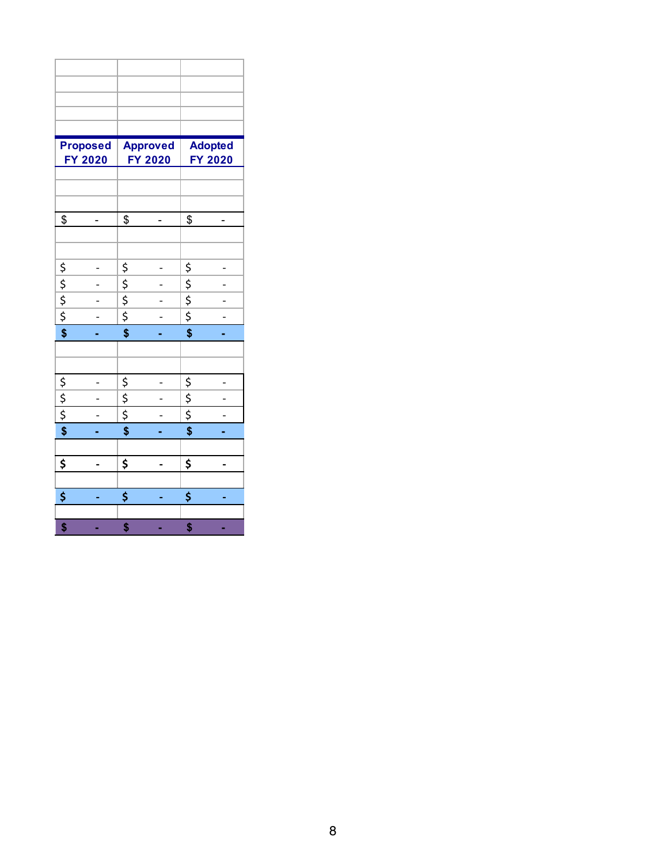|                                                         | <b>Proposed</b> |                                           | <b>Approved</b> |                                                 | <b>Adopted</b> |
|---------------------------------------------------------|-----------------|-------------------------------------------|-----------------|-------------------------------------------------|----------------|
|                                                         | <b>FY 2020</b>  |                                           | FY 2020         |                                                 | FY 2020        |
|                                                         |                 |                                           |                 |                                                 |                |
|                                                         |                 |                                           |                 |                                                 |                |
|                                                         |                 |                                           |                 |                                                 |                |
| \$                                                      |                 | $\frac{1}{2}$                             |                 | \$                                              |                |
|                                                         |                 |                                           |                 |                                                 |                |
|                                                         |                 |                                           |                 |                                                 |                |
|                                                         |                 |                                           |                 |                                                 |                |
|                                                         |                 |                                           |                 |                                                 |                |
|                                                         |                 |                                           |                 | $\frac{1}{2}$<br>$\frac{1}{2}$<br>$\frac{1}{2}$ |                |
| $\frac{1}{2}$ $\frac{1}{2}$ $\frac{1}{2}$ $\frac{1}{2}$ |                 | $\frac{5}{9}$ $\frac{5}{9}$ $\frac{5}{9}$ |                 |                                                 |                |
|                                                         |                 |                                           |                 | $\overline{\boldsymbol{\mathsf{s}}}$            |                |
|                                                         |                 |                                           |                 |                                                 |                |
|                                                         |                 |                                           |                 |                                                 |                |
|                                                         |                 |                                           |                 |                                                 |                |
|                                                         |                 |                                           |                 |                                                 |                |
| $\frac{5}{5}$                                           |                 | $\frac{5}{5}$                             |                 | $rac{5}{5}$                                     |                |
| $\overline{\$}$                                         |                 | $\overline{\mathbf{S}}$                   |                 | \$                                              |                |
|                                                         |                 |                                           |                 |                                                 |                |
| \$                                                      |                 | \$                                        |                 | \$                                              |                |
|                                                         |                 |                                           |                 |                                                 |                |
| \$                                                      |                 | \$                                        |                 | \$                                              |                |
|                                                         |                 |                                           |                 |                                                 |                |
| \$                                                      |                 | \$                                        |                 | \$                                              |                |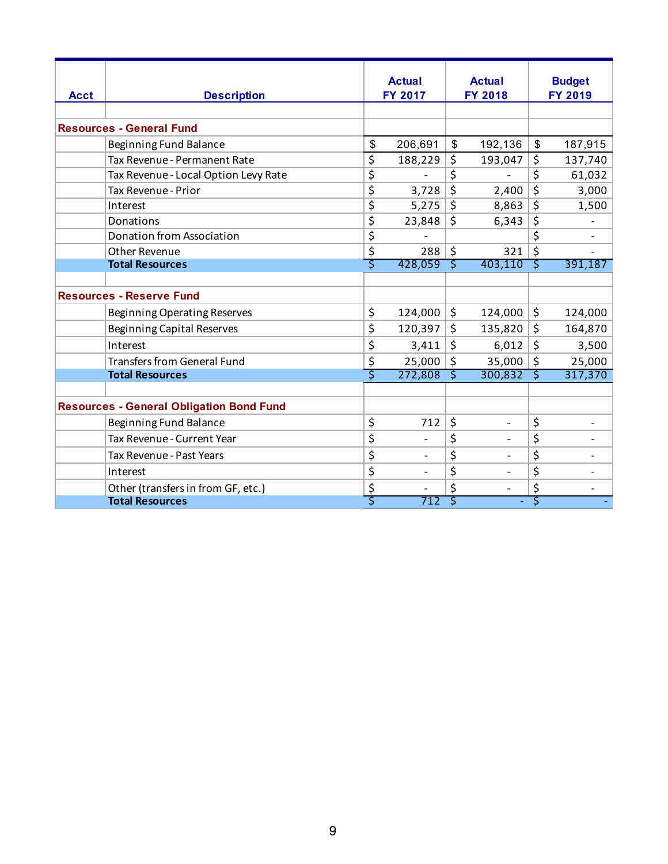|             |                                                 |                                 | <b>Actual</b>  |                         | <b>Actual</b>            |                           | <b>Budget</b> |
|-------------|-------------------------------------------------|---------------------------------|----------------|-------------------------|--------------------------|---------------------------|---------------|
| <b>Acct</b> | <b>Description</b>                              |                                 | <b>FY 2017</b> |                         | <b>FY 2018</b>           | <b>FY 2019</b>            |               |
|             |                                                 |                                 |                |                         |                          |                           |               |
|             | <b>Resources - General Fund</b>                 |                                 |                |                         |                          |                           |               |
|             | Beginning Fund Balance                          | \$                              | 206,691        | \$                      | 192,136                  | $\boldsymbol{\mathsf{S}}$ | 187,915       |
|             | Tax Revenue - Permanent Rate                    | \$                              | 188,229        | \$                      | 193,047                  | \$                        | 137,740       |
|             | Tax Revenue - Local Option Levy Rate            | $\overline{\boldsymbol{\zeta}}$ |                | \$                      |                          | \$                        | 61,032        |
|             | Tax Revenue - Prior                             | \$                              | 3,728          | $\overline{\xi}$        | 2,400                    | \$                        | 3,000         |
|             | Interest                                        | \$                              | 5,275          | \$                      | 8,863                    | \$                        | 1,500         |
|             | Donations                                       | \$                              | 23,848         | $\overline{\mathsf{S}}$ | 6,343                    | \$                        |               |
|             | <b>Donation from Association</b>                | \$                              |                |                         |                          | \$                        |               |
|             | <b>Other Revenue</b>                            | \$                              | 288            | \$                      | 321                      | \$                        |               |
|             | <b>Total Resources</b>                          | \$                              | 428,059        | Š.                      | 403,110                  | ट                         | 391,187       |
|             |                                                 |                                 |                |                         |                          |                           |               |
|             | <b>Resources - Reserve Fund</b>                 |                                 |                |                         |                          |                           |               |
|             | <b>Beginning Operating Reserves</b>             | \$                              | 124,000        | \$                      | 124,000                  | \$                        | 124,000       |
|             | <b>Beginning Capital Reserves</b>               | \$                              | 120,397        | \$                      | 135,820                  | \$                        | 164,870       |
|             | Interest                                        | \$                              | 3,411          | $\zeta$                 | 6,012                    | \$                        | 3,500         |
|             | <b>Transfers from General Fund</b>              | \$                              | 25,000         | \$                      | 35,000                   | \$                        | 25,000        |
|             | <b>Total Resources</b>                          | Ś                               | 272,808        | ट                       | 300,832                  | Ś                         | 317,370       |
|             |                                                 |                                 |                |                         |                          |                           |               |
|             | <b>Resources - General Obligation Bond Fund</b> |                                 |                |                         |                          |                           |               |
|             | <b>Beginning Fund Balance</b>                   | \$                              | 712            | \$                      | $\overline{\phantom{a}}$ | \$                        |               |
|             | Tax Revenue - Current Year                      | \$                              |                | \$                      |                          | \$                        |               |
|             | Tax Revenue - Past Years                        | \$                              |                | \$                      |                          | \$                        |               |
|             | Interest                                        | \$                              |                | \$                      |                          | \$                        |               |
|             | Other (transfers in from GF, etc.)              | \$                              |                |                         |                          | \$                        |               |
|             | <b>Total Resources</b>                          | Ś                               | 712            | Š                       |                          | Ś                         |               |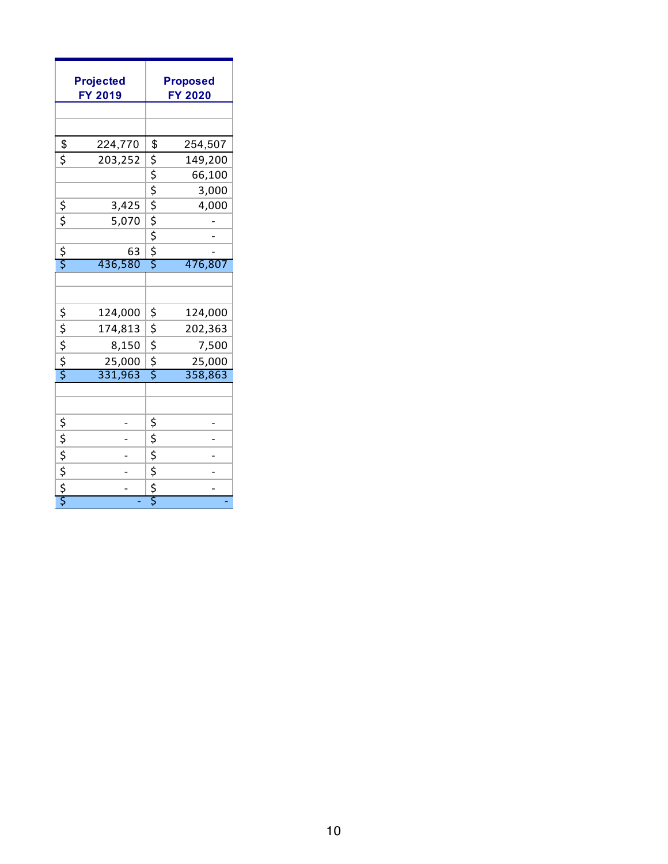|                                                                  | <b>Projected</b><br>FY 2019 |                          | <b>Proposed</b><br><b>FY 2020</b> |
|------------------------------------------------------------------|-----------------------------|--------------------------|-----------------------------------|
|                                                                  |                             |                          |                                   |
|                                                                  |                             |                          |                                   |
| $rac{1}{5}$                                                      | 224,770                     | \$                       | 254,507                           |
|                                                                  | 203,252                     | $\overline{\mathcal{L}}$ | 149,200                           |
|                                                                  |                             |                          | 66,100                            |
|                                                                  |                             |                          | 3,000                             |
| $rac{5}{5}$                                                      | 3,425                       |                          | 4,000                             |
|                                                                  | 5,070                       |                          |                                   |
|                                                                  |                             | � � � � � �              |                                   |
| $\frac{5}{5}$                                                    | 63                          |                          |                                   |
|                                                                  | 436,580                     |                          | 476,807                           |
|                                                                  |                             |                          |                                   |
|                                                                  |                             |                          |                                   |
|                                                                  | 124,000                     | \$                       | 124,000                           |
|                                                                  | 174,813                     | \$                       | 202,363                           |
| $\frac{1}{2}$<br>$\frac{1}{2}$<br>$\frac{1}{2}$<br>$\frac{1}{2}$ | 8,150                       | \$                       | 7,500                             |
|                                                                  | 25,000                      | $\frac{5}{5}$            | 25,000                            |
|                                                                  | 331,963                     |                          | 358,863                           |
|                                                                  |                             |                          |                                   |
|                                                                  |                             |                          |                                   |
|                                                                  |                             | \$                       |                                   |
|                                                                  |                             | \$                       |                                   |
| \$<br> \$<br> \$<br> \$                                          |                             | \$                       |                                   |
|                                                                  |                             |                          |                                   |
|                                                                  |                             | $rac{5}{5}$              |                                   |
|                                                                  |                             |                          |                                   |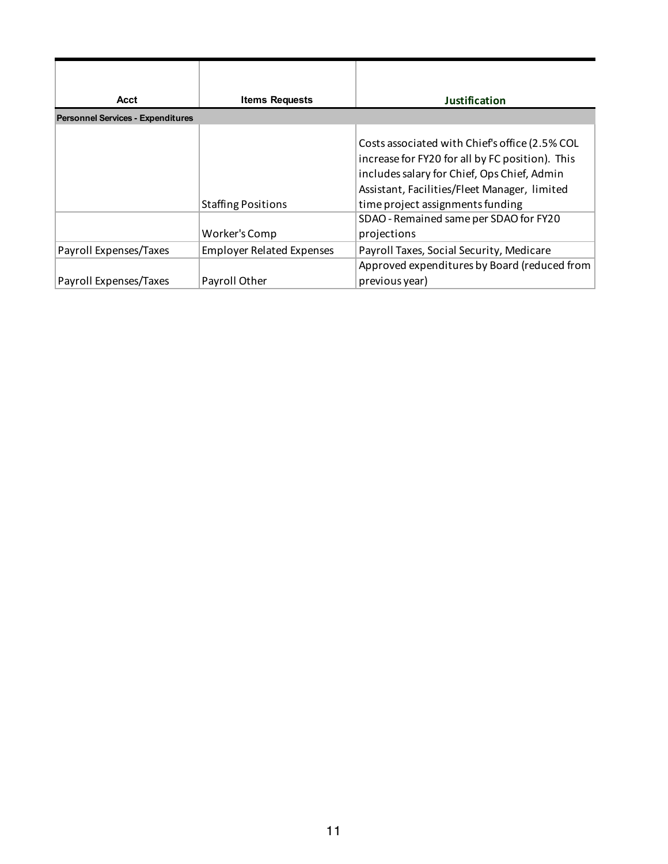| Acct                                     | <b>Items Requests</b>                      | Justification                                                                                                                                                                                                                                                                                 |
|------------------------------------------|--------------------------------------------|-----------------------------------------------------------------------------------------------------------------------------------------------------------------------------------------------------------------------------------------------------------------------------------------------|
| <b>Personnel Services - Expenditures</b> |                                            |                                                                                                                                                                                                                                                                                               |
|                                          | <b>Staffing Positions</b><br>Worker's Comp | Costs associated with Chief's office (2.5% COL<br>increase for FY20 for all by FC position). This<br>includes salary for Chief, Ops Chief, Admin<br>Assistant, Facilities/Fleet Manager, limited<br>time project assignments funding<br>SDAO - Remained same per SDAO for FY20<br>projections |
| Payroll Expenses/Taxes                   | <b>Employer Related Expenses</b>           | Payroll Taxes, Social Security, Medicare                                                                                                                                                                                                                                                      |
| Payroll Expenses/Taxes                   | Payroll Other                              | Approved expenditures by Board (reduced from<br>previous year)                                                                                                                                                                                                                                |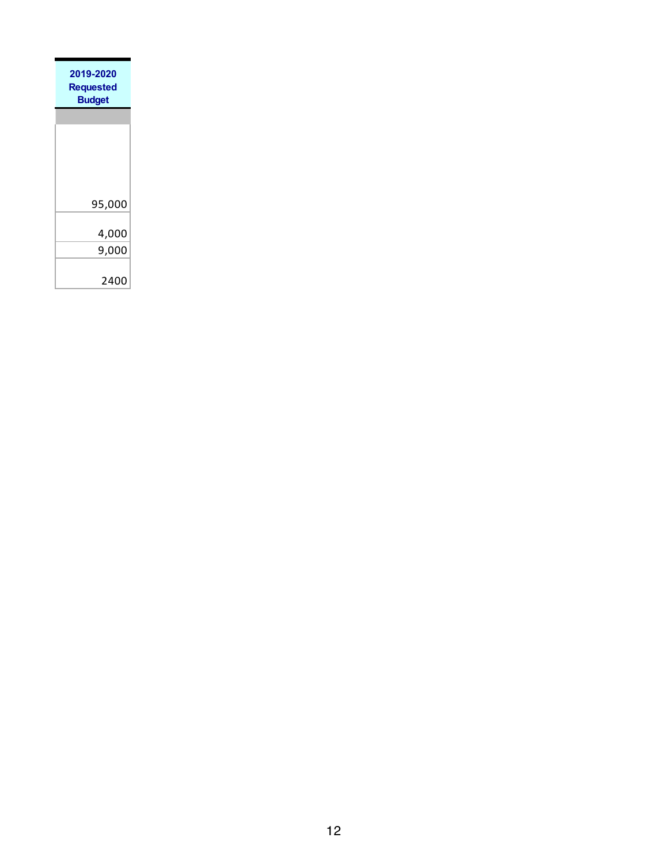| 2019-2020<br><b>Requested</b><br><b>Budget</b> |
|------------------------------------------------|
|                                                |
|                                                |
|                                                |
|                                                |
| 95,000                                         |
| 4,000                                          |
| 9,000                                          |
|                                                |
| 2400                                           |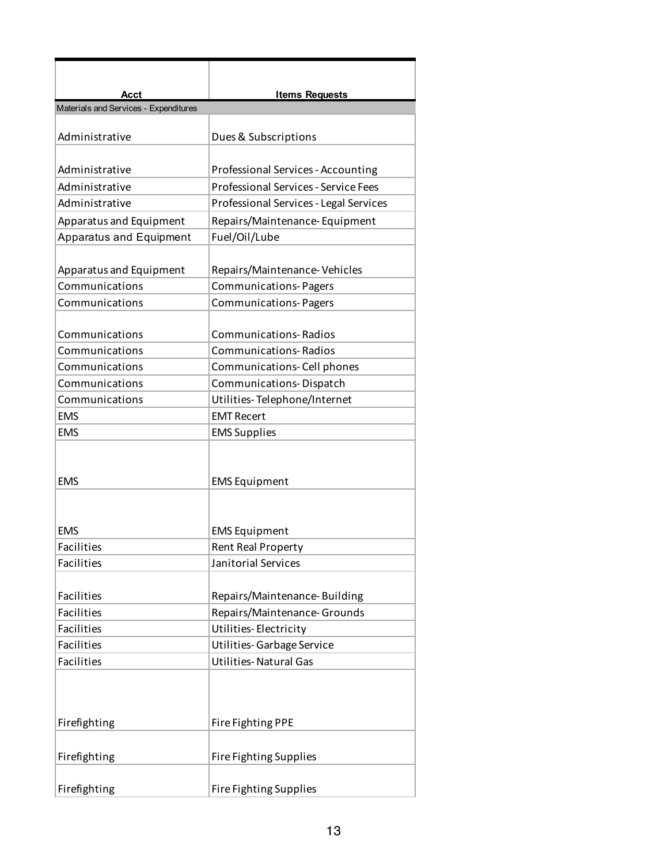| Acct                                  | <b>Items Requests</b>                       |  |
|---------------------------------------|---------------------------------------------|--|
| Materials and Services - Expenditures |                                             |  |
| Administrative                        | Dues & Subscriptions                        |  |
| Administrative                        | Professional Services - Accounting          |  |
| Administrative                        | <b>Professional Services - Service Fees</b> |  |
| Administrative                        | Professional Services - Legal Services      |  |
| Apparatus and Equipment               | Repairs/Maintenance-Equipment               |  |
| <b>Apparatus and Equipment</b>        | Fuel/Oil/Lube                               |  |
|                                       |                                             |  |
| Apparatus and Equipment               | Repairs/Maintenance-Vehicles                |  |
| Communications                        | <b>Communications-Pagers</b>                |  |
| Communications                        | <b>Communications-Pagers</b>                |  |
| Communications                        | <b>Communications-Radios</b>                |  |
| Communications                        | <b>Communications-Radios</b>                |  |
| Communications                        | Communications-Cell phones                  |  |
| Communications                        | Communications-Dispatch                     |  |
| Communications                        | Utilities-Telephone/Internet                |  |
| <b>EMS</b>                            | <b>EMT Recert</b>                           |  |
| <b>EMS</b>                            | <b>EMS Supplies</b>                         |  |
|                                       |                                             |  |
|                                       |                                             |  |
| <b>EMS</b>                            | <b>EMS Equipment</b>                        |  |
|                                       |                                             |  |
|                                       |                                             |  |
| <b>EMS</b>                            | <b>EMS Equipment</b>                        |  |
| <b>Facilities</b>                     | Rent Real Property                          |  |
| Facilities                            | Janitorial Services                         |  |
|                                       |                                             |  |
| Facilities                            | Repairs/Maintenance-Building                |  |
| <b>Facilities</b>                     | Repairs/Maintenance-Grounds                 |  |
| Facilities                            | Utilities-Electricity                       |  |
| Facilities                            | Utilities-Garbage Service                   |  |
| Facilities                            | <b>Utilities-Natural Gas</b>                |  |
|                                       |                                             |  |
|                                       |                                             |  |
| Firefighting                          | Fire Fighting PPE                           |  |
|                                       |                                             |  |
| Firefighting                          | Fire Fighting Supplies                      |  |
|                                       |                                             |  |
| Firefighting                          | Fire Fighting Supplies                      |  |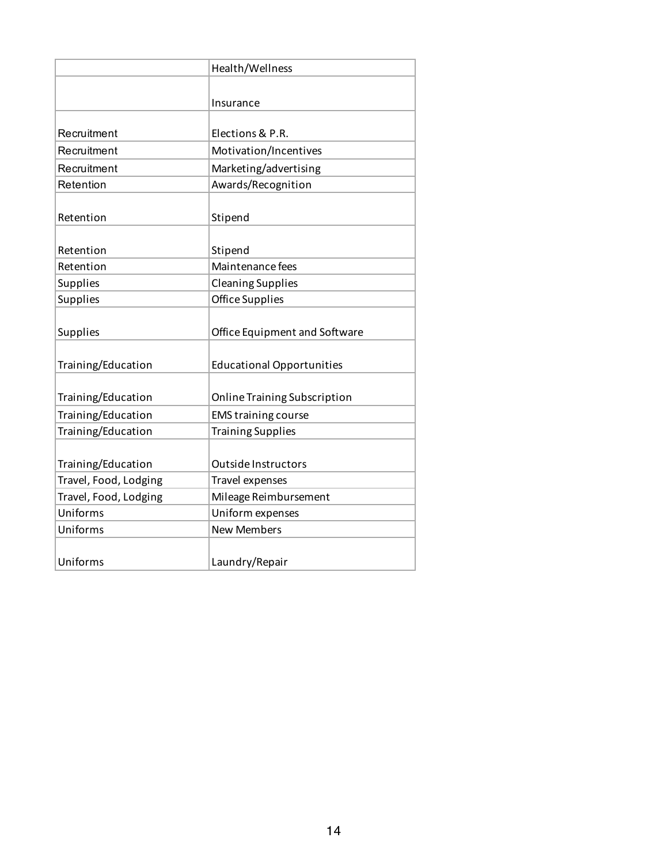|                       | Health/Wellness                  |  |
|-----------------------|----------------------------------|--|
|                       |                                  |  |
|                       | Insurance                        |  |
|                       |                                  |  |
| Recruitment           | Elections & P.R.                 |  |
| Recruitment           | Motivation/Incentives            |  |
| Recruitment           | Marketing/advertising            |  |
| Retention             | Awards/Recognition               |  |
|                       |                                  |  |
| Retention             | Stipend                          |  |
|                       |                                  |  |
| Retention             | Stipend                          |  |
| Retention             | Maintenance fees                 |  |
| <b>Supplies</b>       | <b>Cleaning Supplies</b>         |  |
| Supplies              | <b>Office Supplies</b>           |  |
|                       |                                  |  |
| Supplies              | Office Equipment and Software    |  |
|                       |                                  |  |
| Training/Education    | <b>Educational Opportunities</b> |  |
|                       |                                  |  |
| Training/Education    | Online Training Subscription     |  |
| Training/Education    | <b>EMS training course</b>       |  |
| Training/Education    | <b>Training Supplies</b>         |  |
|                       |                                  |  |
| Training/Education    | Outside Instructors              |  |
| Travel, Food, Lodging | Travel expenses                  |  |
| Travel, Food, Lodging | Mileage Reimbursement            |  |
| Uniforms              | Uniform expenses                 |  |
| Uniforms              | <b>New Members</b>               |  |
|                       |                                  |  |
| Uniforms              | Laundry/Repair                   |  |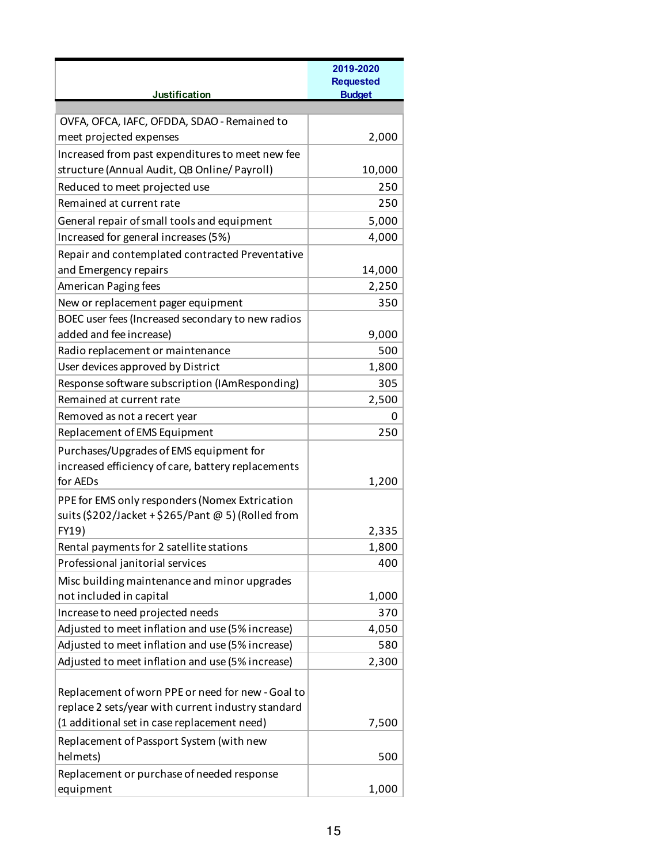|                                                    | 2019-2020<br><b>Requested</b> |
|----------------------------------------------------|-------------------------------|
| Justification                                      | <b>Budget</b>                 |
|                                                    |                               |
| OVFA, OFCA, IAFC, OFDDA, SDAO - Remained to        |                               |
| meet projected expenses                            | 2,000                         |
| Increased from past expenditures to meet new fee   |                               |
| structure (Annual Audit, QB Online/ Payroll)       | 10,000                        |
| Reduced to meet projected use                      | 250                           |
| Remained at current rate                           | 250                           |
| General repair of small tools and equipment        | 5,000                         |
| Increased for general increases (5%)               | 4,000                         |
| Repair and contemplated contracted Preventative    |                               |
| and Emergency repairs                              | 14,000                        |
| American Paging fees                               | 2,250                         |
| New or replacement pager equipment                 | 350                           |
| BOEC user fees (Increased secondary to new radios  |                               |
| added and fee increase)                            | 9,000                         |
| Radio replacement or maintenance                   | 500                           |
| User devices approved by District                  | 1,800                         |
| Response software subscription (IAmResponding)     | 305                           |
| Remained at current rate                           | 2,500                         |
| Removed as not a recert year                       | 0                             |
| Replacement of EMS Equipment                       | 250                           |
| Purchases/Upgrades of EMS equipment for            |                               |
| increased efficiency of care, battery replacements |                               |
| for AEDs                                           | 1,200                         |
| PPE for EMS only responders (Nomex Extrication     |                               |
| suits (\$202/Jacket + \$265/Pant @ 5) (Rolled from |                               |
| FY19)                                              | 2,335                         |
| Rental payments for 2 satellite stations           | 1,800                         |
| Professional janitorial services                   | 400                           |
| Misc building maintenance and minor upgrades       |                               |
| not included in capital                            | 1,000                         |
| Increase to need projected needs                   | 370                           |
| Adjusted to meet inflation and use (5% increase)   | 4,050                         |
| Adjusted to meet inflation and use (5% increase)   | 580                           |
| Adjusted to meet inflation and use (5% increase)   | 2,300                         |
|                                                    |                               |
| Replacement of worn PPE or need for new - Goal to  |                               |
| replace 2 sets/year with current industry standard |                               |
| (1 additional set in case replacement need)        | 7,500                         |
| Replacement of Passport System (with new           |                               |
| helmets)                                           | 500                           |
| Replacement or purchase of needed response         |                               |
| equipment                                          | 1,000                         |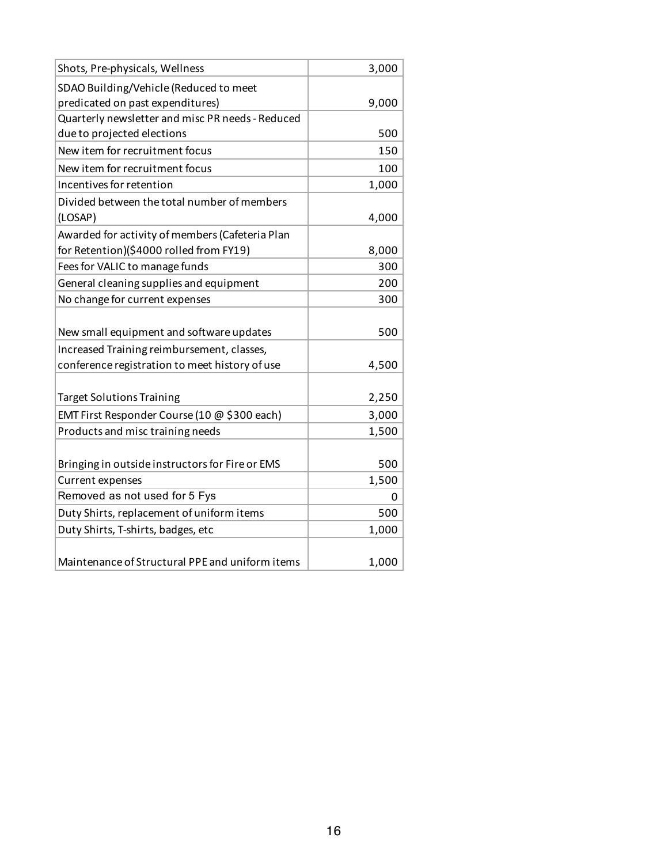| Shots, Pre-physicals, Wellness                   | 3,000 |
|--------------------------------------------------|-------|
| SDAO Building/Vehicle (Reduced to meet           |       |
| predicated on past expenditures)                 | 9,000 |
| Quarterly newsletter and misc PR needs - Reduced |       |
| due to projected elections                       | 500   |
| New item for recruitment focus                   | 150   |
| New item for recruitment focus                   | 100   |
| Incentives for retention                         | 1,000 |
| Divided between the total number of members      |       |
| (LOSAP)                                          | 4,000 |
| Awarded for activity of members (Cafeteria Plan  |       |
| for Retention)(\$4000 rolled from FY19)          | 8,000 |
| Fees for VALIC to manage funds                   | 300   |
| General cleaning supplies and equipment          | 200   |
| No change for current expenses                   | 300   |
|                                                  |       |
| New small equipment and software updates         | 500   |
| Increased Training reimbursement, classes,       |       |
| conference registration to meet history of use   | 4,500 |
|                                                  |       |
| <b>Target Solutions Training</b>                 | 2,250 |
| EMT First Responder Course (10 @ \$300 each)     | 3,000 |
| Products and misc training needs                 | 1,500 |
|                                                  |       |
| Bringing in outside instructors for Fire or EMS  | 500   |
| Current expenses                                 | 1,500 |
| Removed as not used for 5 Fys                    | 0     |
| Duty Shirts, replacement of uniform items        | 500   |
| Duty Shirts, T-shirts, badges, etc               | 1,000 |
|                                                  |       |
| Maintenance of Structural PPE and uniform items  | 1,000 |